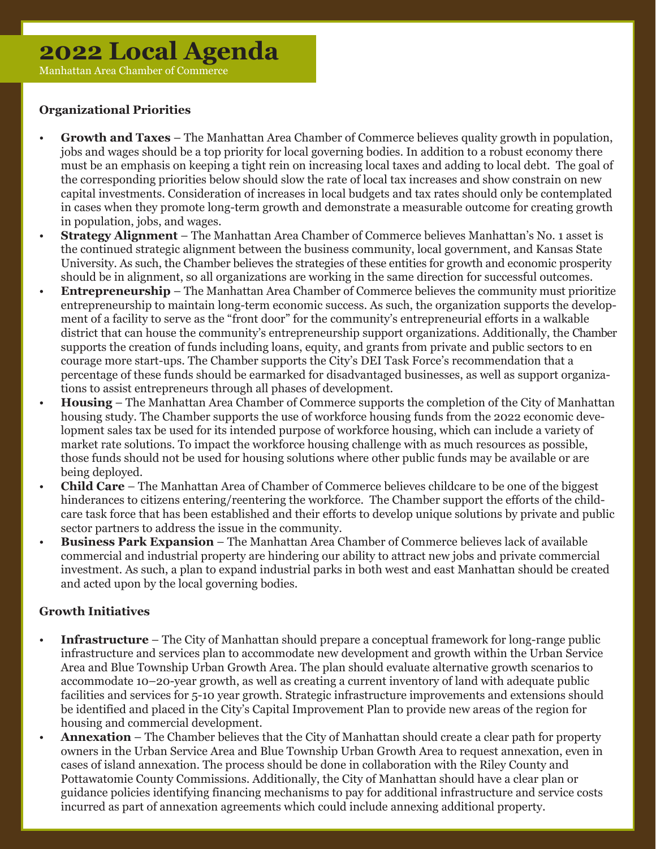# **2022 Local Agenda**

Manhattan Area Chamber of Commerce

## **Organizational Priorities**

- **Growth and Taxes** The Manhattan Area Chamber of Commerce believes quality growth in population, jobs and wages should be a top priority for local governing bodies. In addition to a robust economy there must be an emphasis on keeping a tight rein on increasing local taxes and adding to local debt. The goal of the corresponding priorities below should slow the rate of local tax increases and show constrain on new capital investments. Consideration of increases in local budgets and tax rates should only be contemplated in cases when they promote long-term growth and demonstrate a measurable outcome for creating growth in population, jobs, and wages.
- **Strategy Alignment** The Manhattan Area Chamber of Commerce believes Manhattan's No. 1 asset is the continued strategic alignment between the business community, local government, and Kansas State University. As such, the Chamber believes the strategies of these entities for growth and economic prosperity should be in alignment, so all organizations are working in the same direction for successful outcomes.
- **Entrepreneurship** The Manhattan Area Chamber of Commerce believes the community must prioritize entrepreneurship to maintain long-term economic success. As such, the organization supports the develop ment of a facility to serve as the "front door" for the community's entrepreneurial efforts in a walkable district that can house the community's entrepreneurship support organizations. Additionally, the Chamber supports the creation of funds including loans, equity, and grants from private and public sectors to en courage more start-ups. The Chamber supports the City's DEI Task Force's recommendation that a percentage of these funds should be earmarked for disadvantaged businesses, as well as support organiza tions to assist entrepreneurs through all phases of development.
- **Housing** The Manhattan Area Chamber of Commerce supports the completion of the City of Manhattan housing study. The Chamber supports the use of workforce housing funds from the 2022 economic deve lopment sales tax be used for its intended purpose of workforce housing, which can include a variety of market rate solutions. To impact the workforce housing challenge with as much resources as possible, those funds should not be used for housing solutions where other public funds may be available or are being deployed.
- **Child Care** The Manhattan Area of Chamber of Commerce believes childcare to be one of the biggest hinderances to citizens entering/reentering the workforce. The Chamber support the efforts of the child care task force that has been established and their efforts to develop unique solutions by private and public sector partners to address the issue in the community.
- **Business Park Expansion** The Manhattan Area Chamber of Commerce believes lack of available commercial and industrial property are hindering our ability to attract new jobs and private commercial investment. As such, a plan to expand industrial parks in both west and east Manhattan should be created and acted upon by the local governing bodies.

### **Growth Initiatives**

- **Infrastructure** The City of Manhattan should prepare a conceptual framework for long-range public infrastructure and services plan to accommodate new development and growth within the Urban Service Area and Blue Township Urban Growth Area. The plan should evaluate alternative growth scenarios to accommodate 10–20-year growth, as well as creating a current inventory of land with adequate public facilities and services for 5-10 year growth. Strategic infrastructure improvements and extensions should be identified and placed in the City's Capital Improvement Plan to provide new areas of the region for housing and commercial development.
- **Annexation** The Chamber believes that the City of Manhattan should create a clear path for property owners in the Urban Service Area and Blue Township Urban Growth Area to request annexation, even in cases of island annexation. The process should be done in collaboration with the Riley County and Pottawatomie County Commissions. Additionally, the City of Manhattan should have a clear plan or guidance policies identifying financing mechanisms to pay for additional infrastructure and service costs incurred as part of annexation agreements which could include annexing additional property.